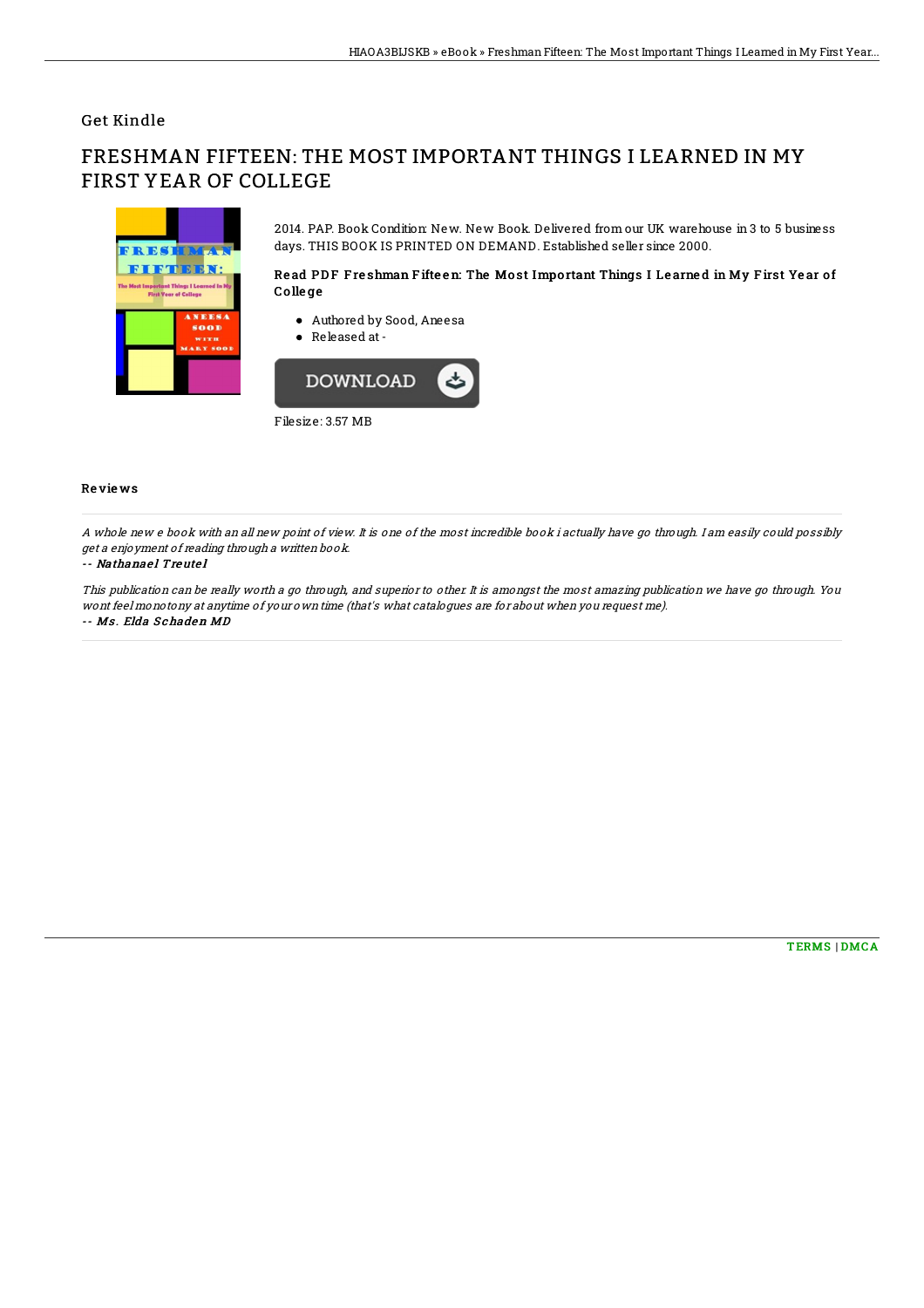## Get Kindle

# FRESHMAN FIFTEEN: THE MOST IMPORTANT THINGS I LEARNED IN MY FIRST YEAR OF COLLEGE



2014. PAP. Book Condition: New. New Book. Delivered from our UK warehouse in 3 to 5 business days. THIS BOOK IS PRINTED ON DEMAND. Established seller since 2000.

#### Read PDF Freshman Fifteen: The Most Important Things I Learned in My First Year of Co lle ge

- Authored by Sood, Aneesa
- Released at -



Filesize: 3.57 MB

### Re vie ws

A whole new <sup>e</sup> book with an all new point of view. It is one of the most incredible book i actually have go through. I am easily could possibly get <sup>a</sup> enjoyment of reading through <sup>a</sup> written book.

#### -- Nathanae l Treute l

This publication can be really worth <sup>a</sup> go through, and superior to other. It is amongst the most amazing publication we have go through. You wont feel monotony at anytime of your own time (that's what catalogues are for about when you request me). -- Ms . Elda S chaden MD